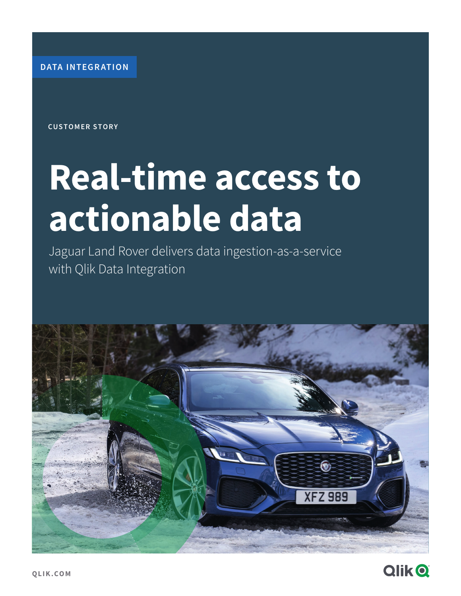**DATA INTEGRATION**

**CUSTOMER STORY**

# **Real-time access to actionable data**

Jaguar Land Rover delivers data ingestion-as-a-service with Qlik Data Integration



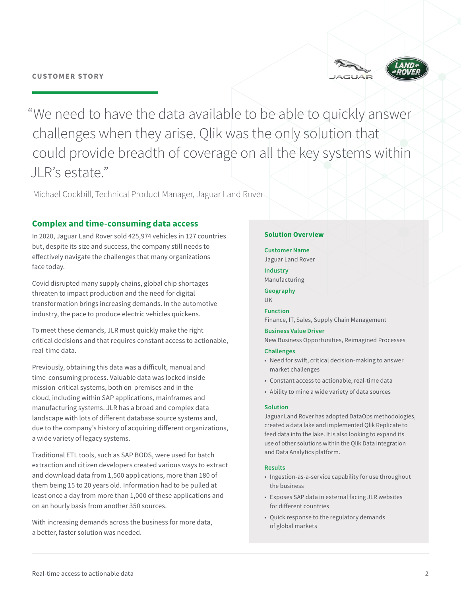



"We need to have the data available to be able to quickly answer challenges when they arise. Qlik was the only solution that could provide breadth of coverage on all the key systems within JLR's estate."

Michael Cockbill, Technical Product Manager, Jaguar Land Rover

# **Complex and time-consuming data access**

In 2020, Jaguar Land Rover sold 425,974 vehicles in 127 countries but, despite its size and success, the company still needs to effectively navigate the challenges that many organizations face today.

Covid disrupted many supply chains, global chip shortages threaten to impact production and the need for digital transformation brings increasing demands. In the automotive industry, the pace to produce electric vehicles quickens.

To meet these demands, JLR must quickly make the right critical decisions and that requires constant access to actionable, real-time data.

Previously, obtaining this data was a difficult, manual and time-consuming process. Valuable data was locked inside mission-critical systems, both on-premises and in the cloud, including within SAP applications, mainframes and manufacturing systems. JLR has a broad and complex data landscape with lots of different database source systems and, due to the company's history of acquiring different organizations, a wide variety of legacy systems.

Traditional ETL tools, such as SAP BODS, were used for batch extraction and citizen developers created various ways to extract and download data from 1,500 applications, more than 180 of them being 15 to 20 years old. Information had to be pulled at least once a day from more than 1,000 of these applications and on an hourly basis from another 350 sources.

With increasing demands across the business for more data, a better, faster solution was needed.

## **Solution Overview**

#### **Customer Name**

Jaguar Land Rover

**Industry**  Manufacturing

**Geography**  UK

**Function**  Finance, IT, Sales, Supply Chain Management

### **Business Value Driver**

New Business Opportunities, Reimagined Processes

#### **Challenges**

- Need for swift, critical decision-making to answer market challenges
- Constant access to actionable, real-time data
- Ability to mine a wide variety of data sources

#### **Solution**

Jaguar Land Rover has adopted DataOps methodologies, created a data lake and implemented Qlik Replicate to feed data into the lake. It is also looking to expand its use of other solutions within the Qlik Data Integration and Data Analytics platform.

#### **Results**

- Ingestion-as-a-service capability for use throughout the business
- Exposes SAP data in external facing JLR websites for different countries
- Quick response to the regulatory demands of global markets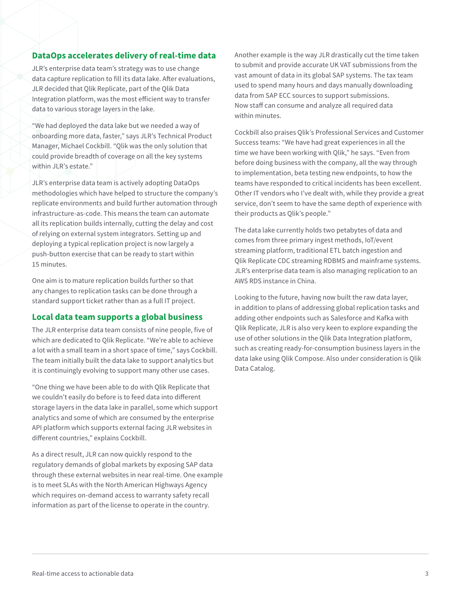# **DataOps accelerates delivery of real-time data**

JLR's enterprise data team's strategy was to use change data capture replication to fill its data lake. After evaluations, JLR decided that Qlik Replicate, part of the Qlik Data Integration platform, was the most efficient way to transfer data to various storage layers in the lake.

"We had deployed the data lake but we needed a way of onboarding more data, faster," says JLR's Technical Product Manager, Michael Cockbill. "Qlik was the only solution that could provide breadth of coverage on all the key systems within JLR's estate."

JLR's enterprise data team is actively adopting DataOps methodologies which have helped to structure the company's replicate environments and build further automation through infrastructure-as-code. This means the team can automate all its replication builds internally, cutting the delay and cost of relying on external system integrators. Setting up and deploying a typical replication project is now largely a push-button exercise that can be ready to start within 15 minutes.

One aim is to mature replication builds further so that any changes to replication tasks can be done through a standard support ticket rather than as a full IT project.

# **Local data team supports a global business**

The JLR enterprise data team consists of nine people, five of which are dedicated to Qlik Replicate. "We're able to achieve a lot with a small team in a short space of time," says Cockbill. The team initially built the data lake to support analytics but it is continuingly evolving to support many other use cases.

"One thing we have been able to do with Qlik Replicate that we couldn't easily do before is to feed data into different storage layers in the data lake in parallel, some which support analytics and some of which are consumed by the enterprise API platform which supports external facing JLR websites in different countries," explains Cockbill.

As a direct result, JLR can now quickly respond to the regulatory demands of global markets by exposing SAP data through these external websites in near real-time. One example is to meet SLAs with the North American Highways Agency which requires on-demand access to warranty safety recall information as part of the license to operate in the country.

Another example is the way JLR drastically cut the time taken to submit and provide accurate UK VAT submissions from the vast amount of data in its global SAP systems. The tax team used to spend many hours and days manually downloading data from SAP ECC sources to support submissions. Now staff can consume and analyze all required data within minutes.

Cockbill also praises Qlik's Professional Services and Customer Success teams: "We have had great experiences in all the time we have been working with Qlik," he says. "Even from before doing business with the company, all the way through to implementation, beta testing new endpoints, to how the teams have responded to critical incidents has been excellent. Other IT vendors who I've dealt with, while they provide a great service, don't seem to have the same depth of experience with their products as Qlik's people."

The data lake currently holds two petabytes of data and comes from three primary ingest methods, IoT/event streaming platform, traditional ETL batch ingestion and Qlik Replicate CDC streaming RDBMS and mainframe systems. JLR's enterprise data team is also managing replication to an AWS RDS instance in China.

Looking to the future, having now built the raw data layer, in addition to plans of addressing global replication tasks and adding other endpoints such as Salesforce and Kafka with Qlik Replicate, JLR is also very keen to explore expanding the use of other solutions in the Qlik Data Integration platform, such as creating ready-for-consumption business layers in the data lake using Qlik Compose. Also under consideration is Qlik Data Catalog.